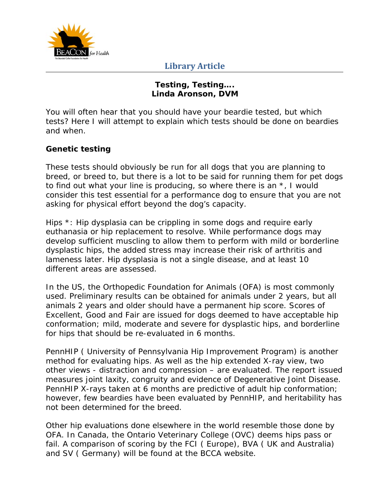

#### **Testing, Testing…. Linda Aronson, DVM**

You will often hear that you should have your beardie tested, but which tests? Here I will attempt to explain which tests should be done on beardies and when.

### **Genetic testing**

These tests should obviously be run for all dogs that you are planning to breed, or breed to, but there is a lot to be said for running them for pet dogs to find out what your line is producing, so where there is an \*, I would consider this test essential for a performance dog to ensure that you are not asking for physical effort beyond the dog's capacity.

Hips \*: Hip dysplasia can be crippling in some dogs and require early euthanasia or hip replacement to resolve. While performance dogs may develop sufficient muscling to allow them to perform with mild or borderline dysplastic hips, the added stress may increase their risk of arthritis and lameness later. Hip dysplasia is not a single disease, and at least 10 different areas are assessed.

In the US, the Orthopedic Foundation for Animals (OFA) is most commonly used. Preliminary results can be obtained for animals under 2 years, but all animals 2 years and older should have a permanent hip score. Scores of Excellent, Good and Fair are issued for dogs deemed to have acceptable hip conformation; mild, moderate and severe for dysplastic hips, and borderline for hips that should be re-evaluated in 6 months.

PennHIP ( University of Pennsylvania Hip Improvement Program) is another method for evaluating hips. As well as the hip extended X-ray view, two other views - distraction and compression – are evaluated. The report issued measures joint laxity, congruity and evidence of Degenerative Joint Disease. PennHIP X-rays taken at 6 months are predictive of adult hip conformation; however, few beardies have been evaluated by PennHIP, and heritability has not been determined for the breed.

Other hip evaluations done elsewhere in the world resemble those done by OFA. In Canada, the Ontario Veterinary College (OVC) deems hips pass or fail. A comparison of scoring by the FCI ( Europe), BVA ( UK and Australia) and SV ( Germany) will be found at the BCCA website.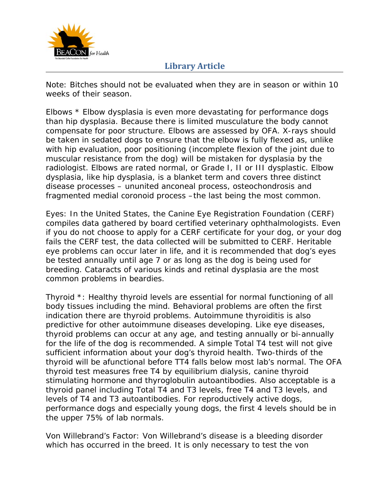

Note: Bitches should not be evaluated when they are in season or within 10 weeks of their season.

Elbows \* Elbow dysplasia is even more devastating for performance dogs than hip dysplasia. Because there is limited musculature the body cannot compensate for poor structure. Elbows are assessed by OFA. X-rays should be taken in sedated dogs to ensure that the elbow is fully flexed as, unlike with hip evaluation, poor positioning (incomplete flexion of the joint due to muscular resistance from the dog) will be mistaken for dysplasia by the radiologist. Elbows are rated normal, or Grade I, II or III dysplastic. Elbow dysplasia, like hip dysplasia, is a blanket term and covers three distinct disease processes – ununited anconeal process, osteochondrosis and fragmented medial coronoid process –the last being the most common.

Eyes: In the United States, the Canine Eye Registration Foundation (CERF) compiles data gathered by board certified veterinary ophthalmologists. Even if you do not choose to apply for a CERF certificate for your dog, or your dog fails the CERF test, the data collected will be submitted to CERF. Heritable eye problems can occur later in life, and it is recommended that dog's eyes be tested annually until age 7 or as long as the dog is being used for breeding. Cataracts of various kinds and retinal dysplasia are the most common problems in beardies.

Thyroid \*: Healthy thyroid levels are essential for normal functioning of all body tissues including the mind. Behavioral problems are often the first indication there are thyroid problems. Autoimmune thyroiditis is also predictive for other autoimmune diseases developing. Like eye diseases, thyroid problems can occur at any age, and testing annually or bi-annually for the life of the dog is recommended. A simple Total T4 test will not give sufficient information about your dog's thyroid health. Two-thirds of the thyroid will be afunctional before TT4 falls below most lab's normal. The OFA thyroid test measures free T4 by equilibrium dialysis, canine thyroid stimulating hormone and thyroglobulin autoantibodies. Also acceptable is a thyroid panel including Total T4 and T3 levels, free T4 and T3 levels, and levels of T4 and T3 autoantibodies. For reproductively active dogs, performance dogs and especially young dogs, the first 4 levels should be in the upper 75% of lab normals.

Von Willebrand's Factor: Von Willebrand's disease is a bleeding disorder which has occurred in the breed. It is only necessary to test the von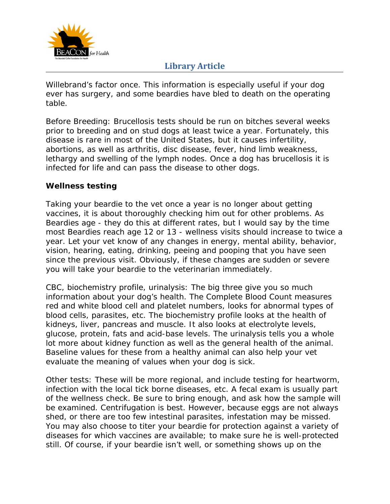

Willebrand's factor once. This information is especially useful if your dog ever has surgery, and some beardies have bled to death on the operating table.

Before Breeding: Brucellosis tests should be run on bitches several weeks prior to breeding and on stud dogs at least twice a year. Fortunately, this disease is rare in most of the United States, but it causes infertility, abortions, as well as arthritis, disc disease, fever, hind limb weakness, lethargy and swelling of the lymph nodes. Once a dog has brucellosis it is infected for life and can pass the disease to other dogs.

### **Wellness testing**

Taking your beardie to the vet once a year is no longer about getting vaccines, it is about thoroughly checking him out for other problems. As Beardies age - they do this at different rates, but I would say by the time most Beardies reach age 12 or 13 - wellness visits should increase to twice a year. Let your vet know of any changes in energy, mental ability, behavior, vision, hearing, eating, drinking, peeing and pooping that you have seen since the previous visit. Obviously, if these changes are sudden or severe you will take your beardie to the veterinarian immediately.

CBC, biochemistry profile, urinalysis: The big three give you so much information about your dog's health. The Complete Blood Count measures red and white blood cell and platelet numbers, looks for abnormal types of blood cells, parasites, etc. The biochemistry profile looks at the health of kidneys, liver, pancreas and muscle. It also looks at electrolyte levels, glucose, protein, fats and acid-base levels. The urinalysis tells you a whole lot more about kidney function as well as the general health of the animal. Baseline values for these from a healthy animal can also help your vet evaluate the meaning of values when your dog is sick.

Other tests: These will be more regional, and include testing for heartworm, infection with the local tick borne diseases, etc. A fecal exam is usually part of the wellness check. Be sure to bring enough, and ask how the sample will be examined. Centrifugation is best. However, because eggs are not always shed, or there are too few intestinal parasites, infestation may be missed. You may also choose to titer your beardie for protection against a variety of diseases for which vaccines are available; to make sure he is well-protected still. Of course, if your beardie isn't well, or something shows up on the